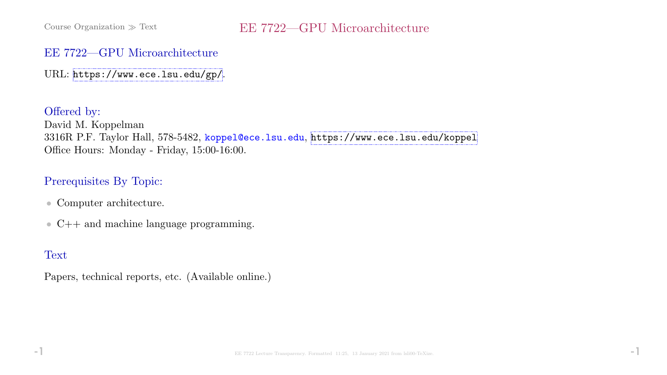#### EE 7722—GPU Microarchitecture

URL: <https://www.ece.lsu.edu/gp/>.

Offered by: David M. Koppelman 3316R P.F. Taylor Hall, 578-5482, koppel@ece.lsu.edu, <https://www.ece.lsu.edu/koppel> Office Hours: Monday - Friday, 15:00-16:00.

#### Prerequisites By Topic:

- Computer architecture.
- C++ and machine language programming.

## **Text**

Papers, technical reports, etc. (Available online.)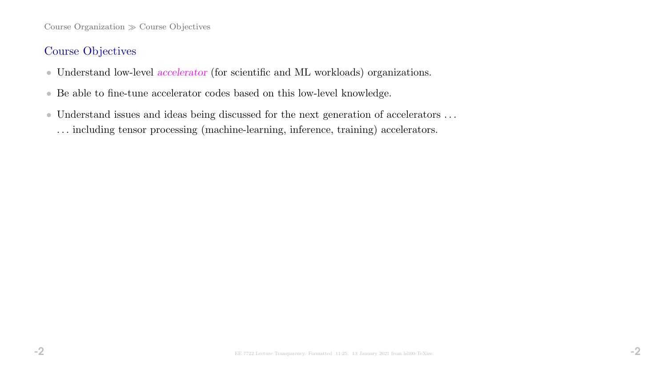Course Organization  $\gg$  Course Objectives

## Course Objectives

- Understand low-level accelerator (for scientific and ML workloads) organizations.
- Be able to fine-tune accelerator codes based on this low-level knowledge.
- $\bullet$  Understand issues and ideas being discussed for the next generation of accelerators  $\ldots$ . . . including tensor processing (machine-learning, inference, training) accelerators.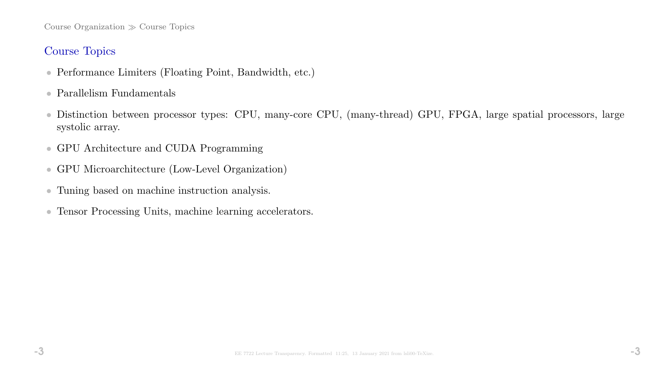Course Organization  $\gg$  Course Topics

## Course Topics

- Performance Limiters (Floating Point, Bandwidth, etc.)
- Parallelism Fundamentals
- Distinction between processor types: CPU, many-core CPU, (many-thread) GPU, FPGA, large spatial processors, large systolic array.
- GPU Architecture and CUDA Programming
- GPU Microarchitecture (Low-Level Organization)
- Tuning based on machine instruction analysis.
- Tensor Processing Units, machine learning accelerators.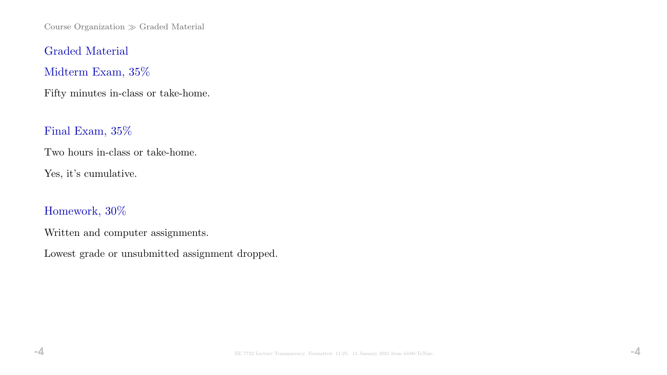Course Organization  $\gg$  Graded Material

Graded Material

Midterm Exam, 35%

Fifty minutes in-class or take-home.

Final Exam, 35%

Two hours in-class or take-home.

Yes, it's cumulative.

Homework, 30%

Written and computer assignments.

Lowest grade or unsubmitted assignment dropped.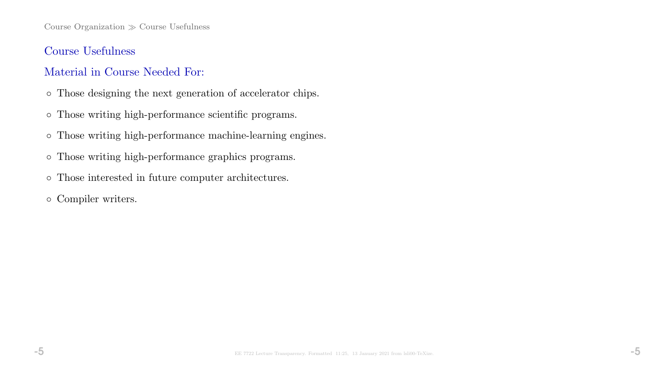Course Organization  $\gg$  Course Usefulness

### Course Usefulness

## Material in Course Needed For:

- Those designing the next generation of accelerator chips.
- Those writing high-performance scientific programs.
- Those writing high-performance machine-learning engines.
- Those writing high-performance graphics programs.
- Those interested in future computer architectures.
- Compiler writers.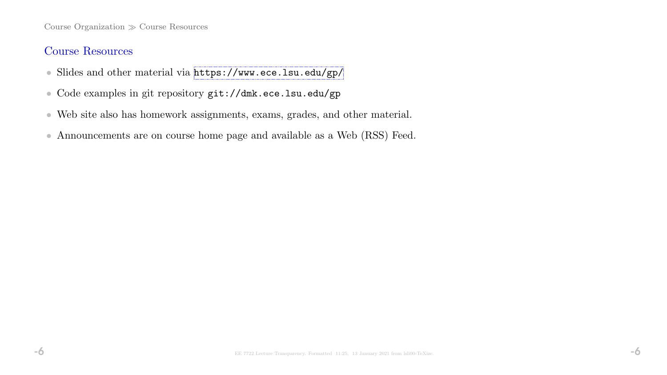Course Organization  $\gg$  Course Resources

### Course Resources

- Slides and other material via <https://www.ece.lsu.edu/gp/>
- Code examples in git repository git://dmk.ece.lsu.edu/gp
- Web site also has homework assignments, exams, grades, and other material.
- Announcements are on course home page and available as a Web (RSS) Feed.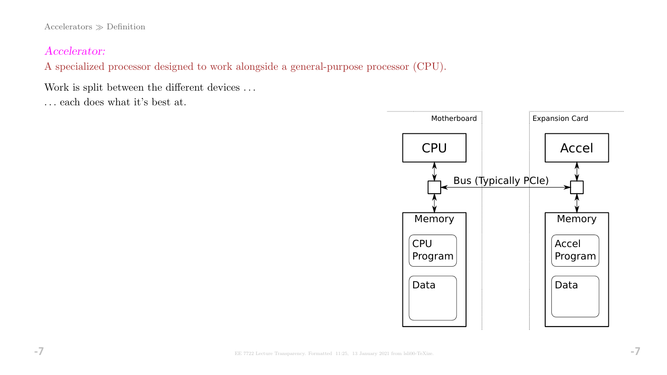${\rm Accelerators} \gg {\rm Definition}$ 

#### Accelerator:

A specialized processor designed to work alongside a general-purpose processor (CPU).

Work is split between the different devices . . .

. . . each does what it's best at.

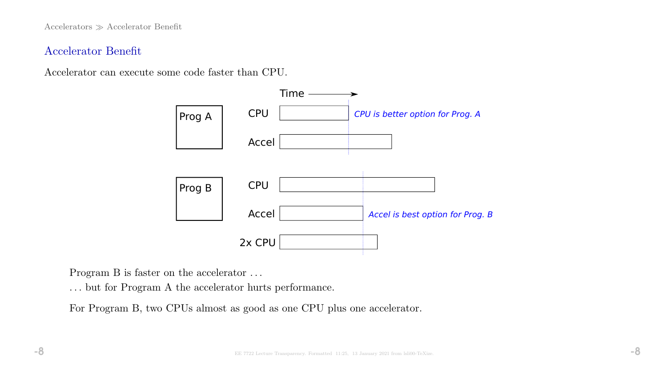Accelerators Accelerator Benefit

#### Accelerator Benefit

Accelerator can execute some code faster than CPU.



Program B is faster on the accelerator . . .

. . . but for Program A the accelerator hurts performance.

For Program B, two CPUs almost as good as one CPU plus one accelerator.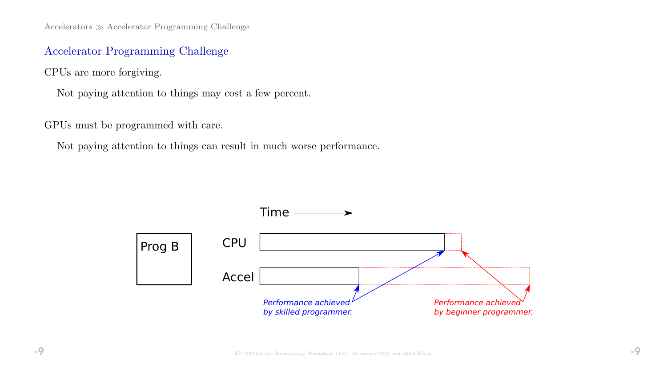$Accepterators \gg Accelerator Programming Challenge$ 

#### Accelerator Programming Challenge

CPUs are more forgiving.

Not paying attention to things may cost a few percent.

GPUs must be programmed with care.

Not paying attention to things can result in much worse performance.

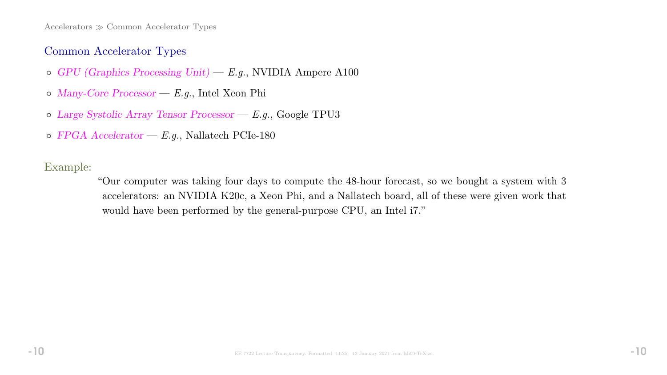$Accepterators \gg Common Accelerator Types$ 

#### Common Accelerator Types

- $\circ$  GPU (Graphics Processing Unit) E.g., NVIDIA Ampere A100
- Many-Core Processor E.g., Intel Xeon Phi
- Large Systolic Array Tensor Processor E.g., Google TPU3
- $\circ$  FPGA Accelerator E.g., Nallatech PCIe-180

Example:

"Our computer was taking four days to compute the 48-hour forecast, so we bought a system with 3 accelerators: an NVIDIA K20c, a Xeon Phi, and a Nallatech board, all of these were given work that would have been performed by the general-purpose CPU, an Intel i7."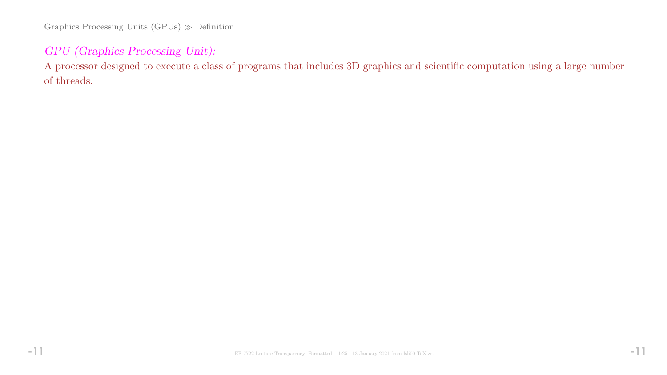Graphics Processing Units  $(GPUs) \gg$  Definition

## GPU (Graphics Processing Unit):

A processor designed to execute a class of programs that includes 3D graphics and scientific computation using a large number of threads.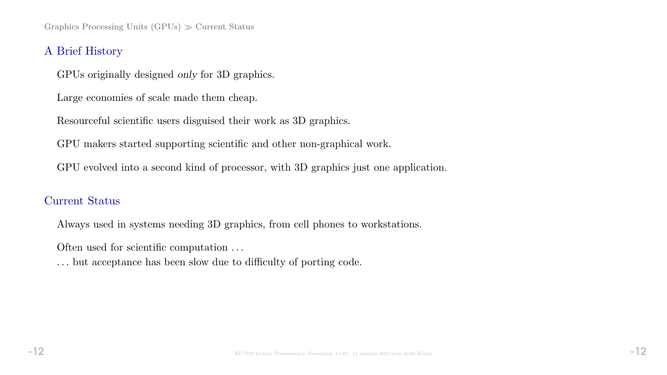Graphics Processing Units  $(GPUs) \gg$  Current Status

#### A Brief History

GPUs originally designed only for 3D graphics.

Large economies of scale made them cheap.

Resourceful scientific users disguised their work as 3D graphics.

GPU makers started supporting scientific and other non-graphical work.

GPU evolved into a second kind of processor, with 3D graphics just one application.

### Current Status

Always used in systems needing 3D graphics, from cell phones to workstations.

Often used for scientific computation . . .

. . . but acceptance has been slow due to difficulty of porting code.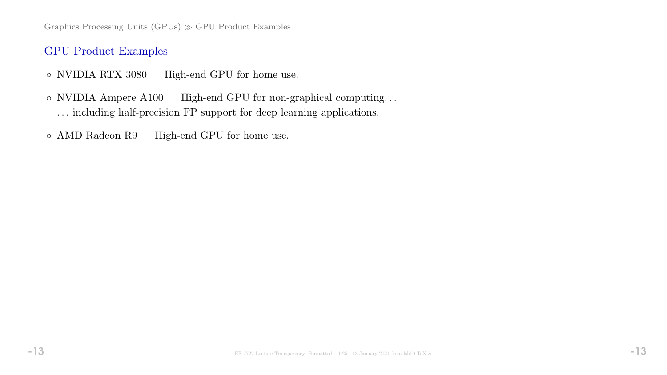Graphics Processing Units  $(GPUs) \gg GPU$  Product Examples

#### GPU Product Examples

- NVIDIA RTX 3080 High-end GPU for home use.
- NVIDIA Ampere A100 High-end GPU for non-graphical computing. . . . . . including half-precision FP support for deep learning applications.
- $\circ$  AMD Radeon R9 High-end GPU for home use.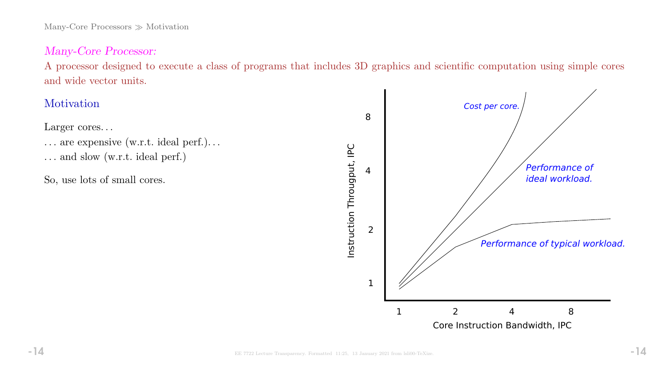Many-Core Processors  $\gg$  Motivation

#### Many-Core Processor:

A processor designed to execute a class of programs that includes 3D graphics and scientific computation using simple cores and wide vector units.

## Motivation

Larger cores...

- ... are expensive (w.r.t. ideal perf.)...
- . . . and slow (w.r.t. ideal perf.)

So, use lots of small cores.

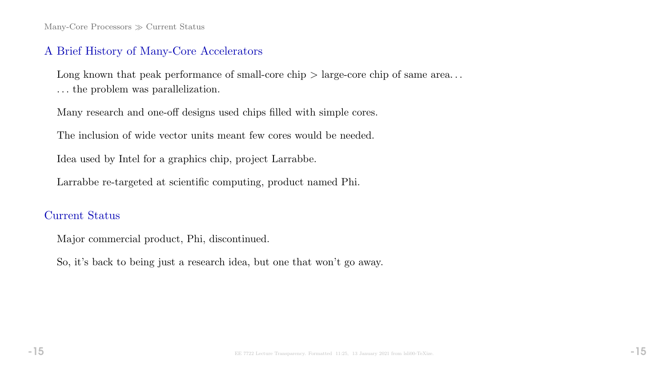Many-Core Processors  $\gg$  Current Status

#### A Brief History of Many-Core Accelerators

Long known that peak performance of small-core chip  $>$  large-core chip of same area... . . . the problem was parallelization.

Many research and one-off designs used chips filled with simple cores.

The inclusion of wide vector units meant few cores would be needed.

Idea used by Intel for a graphics chip, project Larrabbe.

Larrabbe re-targeted at scientific computing, product named Phi.

## Current Status

Major commercial product, Phi, discontinued.

So, it's back to being just a research idea, but one that won't go away.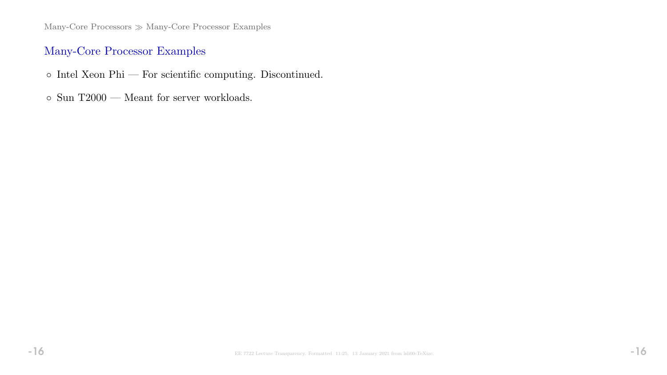Many-Core Processors  $\gg$  Many-Core Processor Examples

## Many-Core Processor Examples

- $\circ$ Intel Xeon Phi For scientific computing. Discontinued.
- $\circ$  Sun T2000 Meant for server workloads.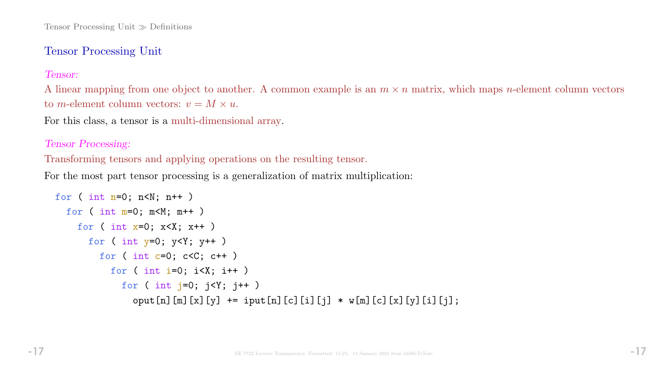## Tensor Processing Unit

#### Tensor:

A linear mapping from one object to another. A common example is an  $m \times n$  matrix, which maps *n*-element column vectors to *m*-element column vectors:  $v = M \times u$ .

For this class, a tensor is a multi-dimensional array.

#### Tensor Processing:

Transforming tensors and applying operations on the resulting tensor.

For the most part tensor processing is a generalization of matrix multiplication:

```
for ( int n=0; n< N; n++ )
for ( int_{m=0}; m< M; m++ )
  for ( int x=0; x\leq X; x++ )
    for ( int y=0; y<Y; y++ )
      for ( int c=0; c < C; c++ )
        for ( int i=0; i<X; i++ )
          for ( int j=0; j<Y; j++ )
            oput[n][m][x][y] += iput[n][c][i][j] * w[m][c][x][y][i][j];
```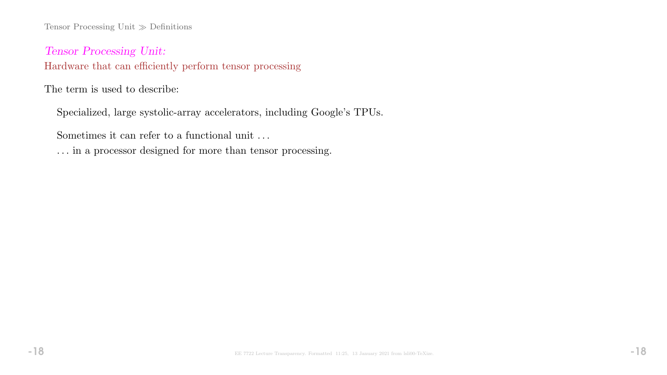Tensor Processing Unit  $\gg$  Definitions

Tensor Processing Unit: Hardware that can efficiently perform tensor processing

The term is used to describe:

Specialized, large systolic-array accelerators, including Google's TPUs.

Sometimes it can refer to a functional unit . . .

. . . in a processor designed for more than tensor processing.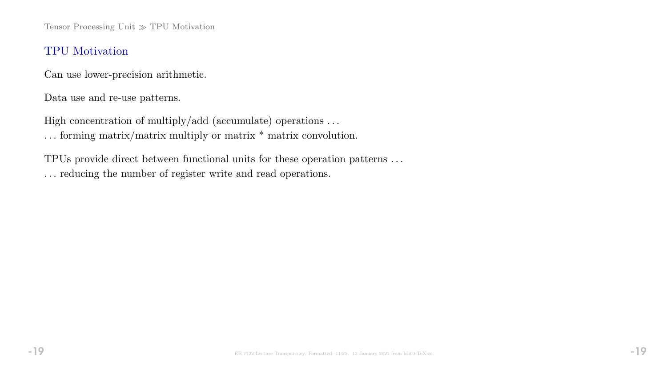Tensor Processing Unit  $\gg$  TPU Motivation

#### TPU Motivation

Can use lower-precision arithmetic.

Data use and re-use patterns.

High concentration of multiply/add (accumulate) operations ...

. . . forming matrix/matrix multiply or matrix \* matrix convolution.

TPUs provide direct between functional units for these operation patterns . . . . . . reducing the number of register write and read operations.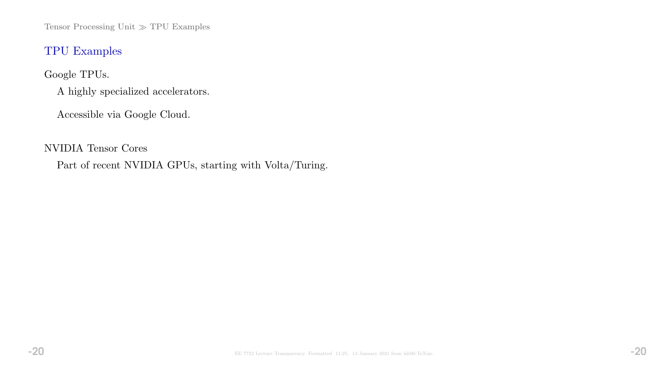Tensor Processing Unit $\gg$  TPU Examples

## TPU Examples

Google TPUs.

A highly specialized accelerators.

Accessible via Google Cloud.

NVIDIA Tensor Cores

Part of recent NVIDIA GPUs, starting with Volta/Turing.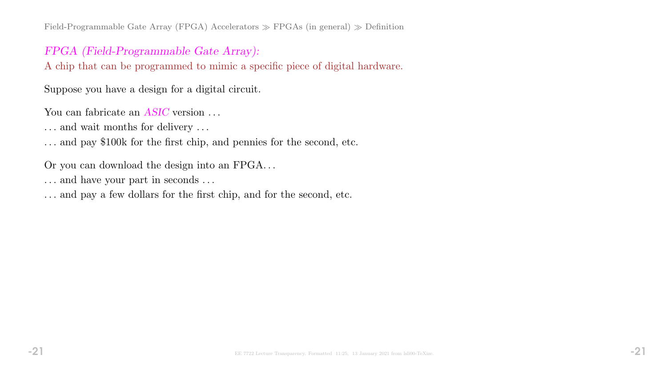Field-Programmable Gate Array (FPGA) Accelerators  $\gg$  FPGAs (in general)  $\gg$  Definition

## FPGA (Field-Programmable Gate Array):

A chip that can be programmed to mimic a specific piece of digital hardware.

Suppose you have a design for a digital circuit.

You can fabricate an *ASIC* version ...

 $\ldots$  and wait months for delivery  $\ldots$ 

. . . and pay \$100k for the first chip, and pennies for the second, etc.

Or you can download the design into an FPGA. . .

. . . and have your part in seconds . . .

. . . and pay a few dollars for the first chip, and for the second, etc.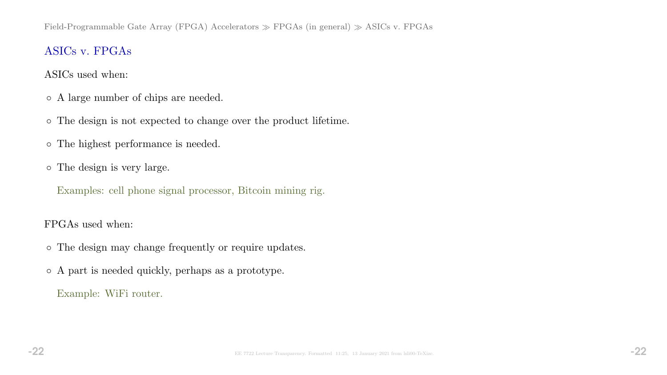# ASICs v. FPGAs

ASICs used when:

- A large number of chips are needed.
- The design is not expected to change over the product lifetime.
- The highest performance is needed.
- The design is very large.

Examples: cell phone signal processor, Bitcoin mining rig.

## FPGAs used when:

- The design may change frequently or require updates.
- A part is needed quickly, perhaps as a prototype.

Example: WiFi router.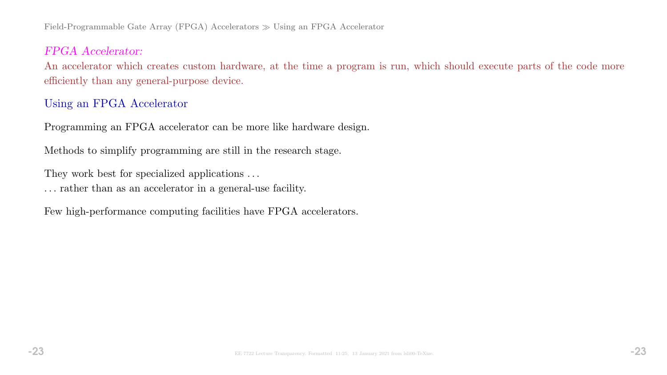Field-Programmable Gate Array (FPGA) Accelerators  $\gg$  Using an FPGA Accelerator

#### FPGA Accelerator:

An accelerator which creates custom hardware, at the time a program is run, which should execute parts of the code more efficiently than any general-purpose device.

#### Using an FPGA Accelerator

Programming an FPGA accelerator can be more like hardware design.

Methods to simplify programming are still in the research stage.

They work best for specialized applications . . .

. . . rather than as an accelerator in a general-use facility.

Few high-performance computing facilities have FPGA accelerators.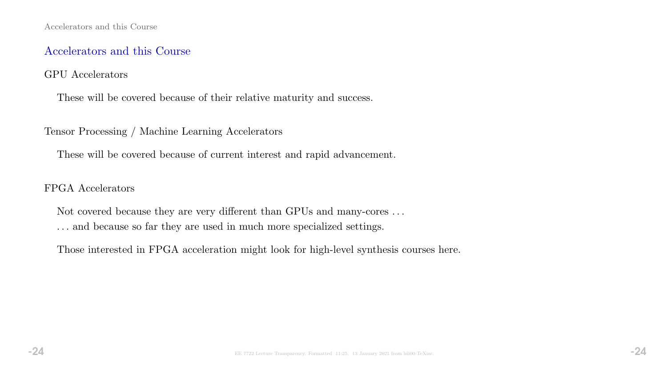## Accelerators and this Course

#### GPU Accelerators

These will be covered because of their relative maturity and success.

Tensor Processing / Machine Learning Accelerators

These will be covered because of current interest and rapid advancement.

#### FPGA Accelerators

Not covered because they are very different than GPUs and many-cores . . . . . . and because so far they are used in much more specialized settings.

Those interested in FPGA acceleration might look for high-level synthesis courses here.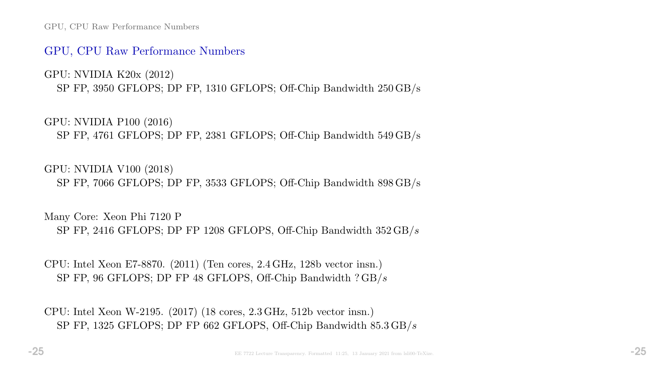GPU, CPU Raw Performance Numbers

#### GPU, CPU Raw Performance Numbers

GPU: NVIDIA K20x (2012) SP FP, 3950 GFLOPS; DP FP, 1310 GFLOPS; Off-Chip Bandwidth 250 GB/s

GPU: NVIDIA P100 (2016) SP FP, 4761 GFLOPS; DP FP, 2381 GFLOPS; Off-Chip Bandwidth 549 GB/s

GPU: NVIDIA V100 (2018)

SP FP, 7066 GFLOPS; DP FP, 3533 GFLOPS; Off-Chip Bandwidth 898 GB/s

Many Core: Xeon Phi 7120 P SP FP, 2416 GFLOPS; DP FP 1208 GFLOPS, Off-Chip Bandwidth 352 GB/s

CPU: Intel Xeon E7-8870. (2011) (Ten cores, 2.4 GHz, 128b vector insn.) SP FP, 96 GFLOPS; DP FP 48 GFLOPS, Off-Chip Bandwidth ? GB/s

CPU: Intel Xeon W-2195. (2017) (18 cores, 2.3 GHz, 512b vector insn.) SP FP, 1325 GFLOPS; DP FP 662 GFLOPS, Off-Chip Bandwidth 85.3 GB/s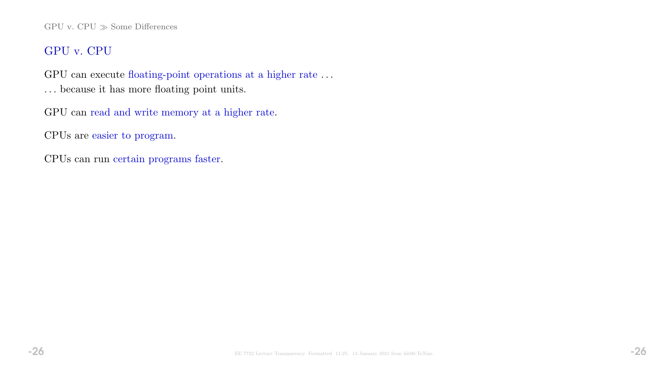#### GPU v. CPU  $\gg$  Some Differences

## GPU v. CPU

GPU can execute floating-point operations at a higher rate . . .

. . . because it has more floating point units.

GPU can read and write memory at a higher rate.

CPUs are easier to program.

CPUs can run certain programs faster.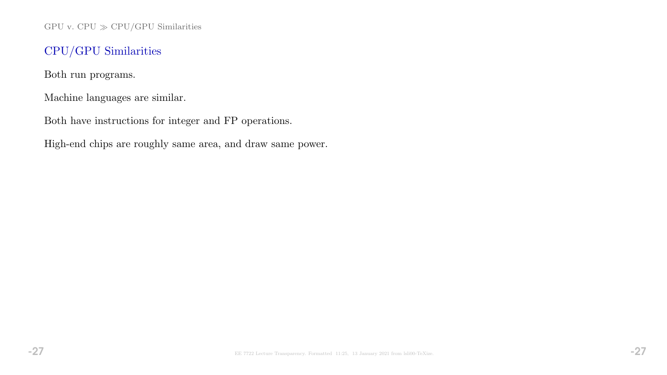GPU v. CPU  $\gg$  CPU/GPU Similarities

## CPU/GPU Similarities

Both run programs.

Machine languages are similar.

Both have instructions for integer and FP operations.

High-end chips are roughly same area, and draw same power.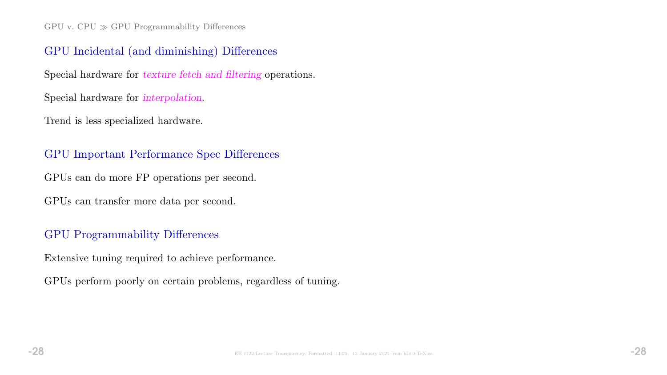$GPU$  v.  $CPU \gg GPU$  Programmability Differences

#### GPU Incidental (and diminishing) Differences

Special hardware for texture fetch and filtering operations.

Special hardware for interpolation.

Trend is less specialized hardware.

#### GPU Important Performance Spec Differences

GPUs can do more FP operations per second.

GPUs can transfer more data per second.

### GPU Programmability Differences

Extensive tuning required to achieve performance.

GPUs perform poorly on certain problems, regardless of tuning.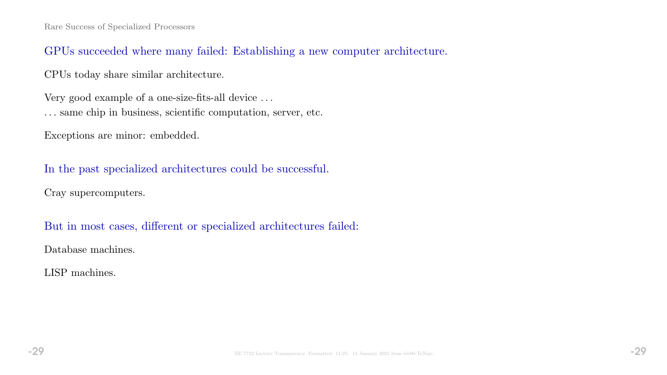## GPUs succeeded where many failed: Establishing a new computer architecture.

CPUs today share similar architecture.

Very good example of a one-size-fits-all device . . . . . . same chip in business, scientific computation, server, etc.

Exceptions are minor: embedded.

In the past specialized architectures could be successful.

Cray supercomputers.

But in most cases, different or specialized architectures failed:

Database machines.

LISP machines.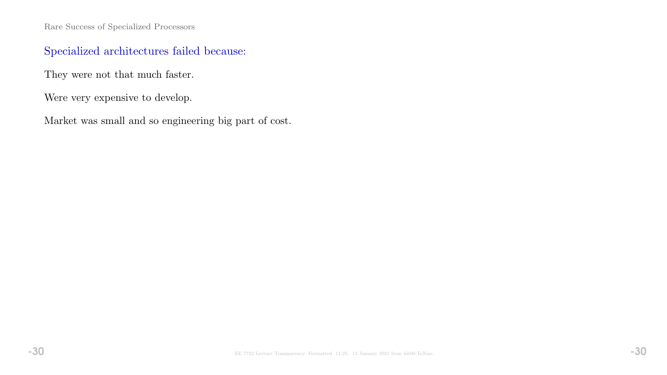Rare Success of Specialized Processors

# Specialized architectures failed because:

They were not that much faster.

Were very expensive to develop.

Market was small and so engineering big part of cost.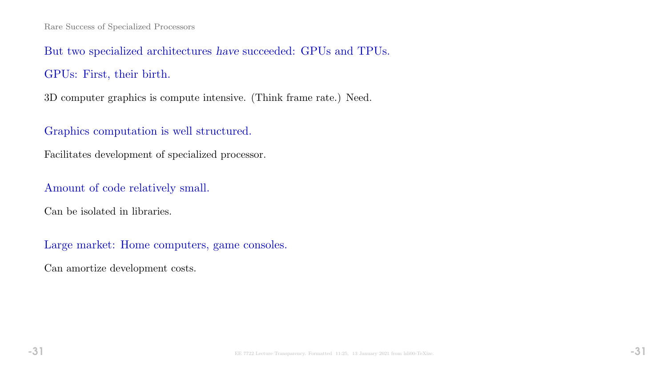But two specialized architectures have succeeded: GPUs and TPUs. GPUs: First, their birth.

3D computer graphics is compute intensive. (Think frame rate.) Need.

# Graphics computation is well structured.

Facilitates development of specialized processor.

Amount of code relatively small.

Can be isolated in libraries.

Large market: Home computers, game consoles.

Can amortize development costs.